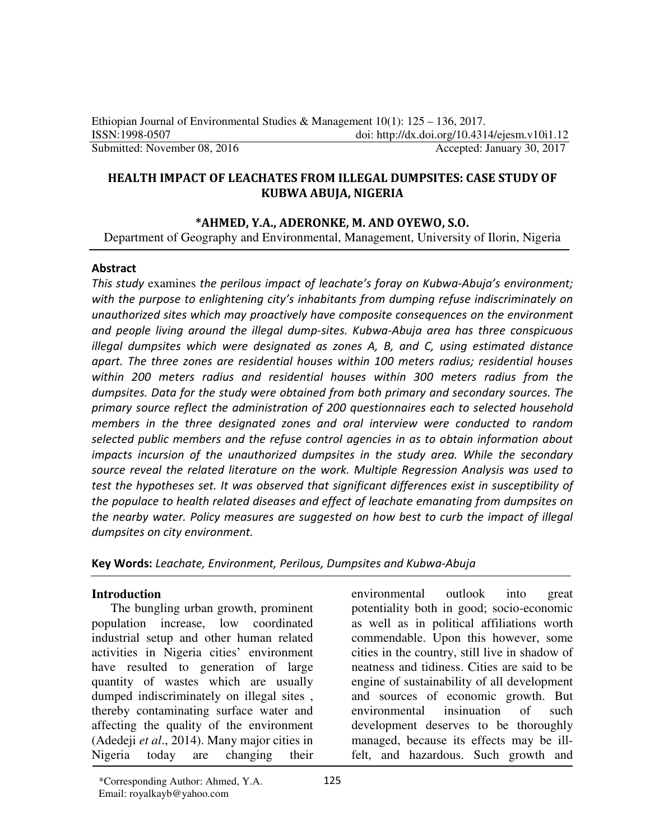# **HEALTH IMPACT OF LEACHATES FROM ILLEGAL DUMPSITES: CASE STUDY OF KUBWA ABUJA, NIGERIA**

## **\*AHMED, Y.A., ADERONKE, M. AND OYEWO, S.O.**

Department of Geography and Environmental, Management, University of Ilorin, Nigeria

### **Abstract**

*This study* examines *the perilous impact of leachate's foray on Kubwa-Abuja's environment; with the purpose to enlightening city's inhabitants from dumping refuse indiscriminately on unauthorized sites which may proactively have composite consequences on the environment and people living around the illegal dump-sites. Kubwa-Abuja area has three conspicuous illegal dumpsites which were designated as zones A, B, and C, using estimated distance apart. The three zones are residential houses within 100 meters radius; residential houses within 200 meters radius and residential houses within 300 meters radius from the dumpsites. Data for the study were obtained from both primary and secondary sources. The primary source reflect the administration of 200 questionnaires each to selected household members in the three designated zones and oral interview were conducted to random selected public members and the refuse control agencies in as to obtain information about impacts incursion of the unauthorized dumpsites in the study area. While the secondary source reveal the related literature on the work. Multiple Regression Analysis was used to test the hypotheses set. It was observed that significant differences exist in susceptibility of the populace to health related diseases and effect of leachate emanating from dumpsites on the nearby water. Policy measures are suggested on how best to curb the impact of illegal dumpsites on city environment.* 

**Key Words:** *Leachate, Environment, Perilous, Dumpsites and Kubwa-Abuja* 

### **Introduction**

The bungling urban growth, prominent population increase, low coordinated industrial setup and other human related activities in Nigeria cities' environment have resulted to generation of large quantity of wastes which are usually dumped indiscriminately on illegal sites , thereby contaminating surface water and affecting the quality of the environment (Adedeji *et al*., 2014). Many major cities in Nigeria today are changing their environmental outlook into great potentiality both in good; socio-economic as well as in political affiliations worth commendable. Upon this however, some cities in the country, still live in shadow of neatness and tidiness. Cities are said to be engine of sustainability of all development and sources of economic growth. But environmental insinuation of such development deserves to be thoroughly managed, because its effects may be illfelt, and hazardous. Such growth and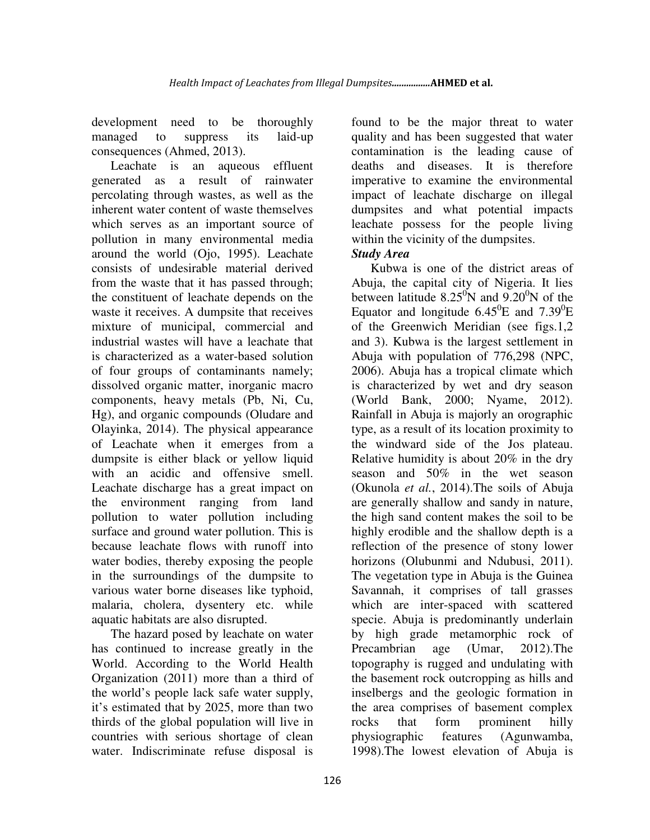development need to be thoroughly managed to suppress its laid-up consequences (Ahmed, 2013).

Leachate is an aqueous effluent generated as a result of rainwater percolating through wastes, as well as the inherent water content of waste themselves which serves as an important source of pollution in many environmental media around the world (Ojo, 1995). Leachate consists of undesirable material derived from the waste that it has passed through; the constituent of leachate depends on the waste it receives. A dumpsite that receives mixture of municipal, commercial and industrial wastes will have a leachate that is characterized as a water-based solution of four groups of contaminants namely; dissolved organic matter, inorganic macro components, heavy metals (Pb, Ni, Cu, Hg), and organic compounds (Oludare and Olayinka, 2014). The physical appearance of Leachate when it emerges from a dumpsite is either black or yellow liquid with an acidic and offensive smell. Leachate discharge has a great impact on the environment ranging from land pollution to water pollution including surface and ground water pollution. This is because leachate flows with runoff into water bodies, thereby exposing the people in the surroundings of the dumpsite to various water borne diseases like typhoid, malaria, cholera, dysentery etc. while aquatic habitats are also disrupted.

The hazard posed by leachate on water has continued to increase greatly in the World. According to the World Health Organization (2011) more than a third of the world's people lack safe water supply, it's estimated that by 2025, more than two thirds of the global population will live in countries with serious shortage of clean water. Indiscriminate refuse disposal is

found to be the major threat to water quality and has been suggested that water contamination is the leading cause of deaths and diseases. It is therefore imperative to examine the environmental impact of leachate discharge on illegal dumpsites and what potential impacts leachate possess for the people living within the vicinity of the dumpsites.

# *Study Area*

Kubwa is one of the district areas of Abuja, the capital city of Nigeria. It lies between latitude  $8.25^{\circ}$ N and  $9.20^{\circ}$ N of the Equator and longitude  $6.45^0$ E and  $7.39^0$ E of the Greenwich Meridian (see figs.1,2 and 3). Kubwa is the largest settlement in Abuja with population of 776,298 (NPC, 2006). Abuja has a tropical climate which is characterized by wet and dry season (World Bank, 2000; Nyame, 2012). Rainfall in Abuja is majorly an orographic type, as a result of its location proximity to the windward side of the Jos plateau. Relative humidity is about 20% in the dry season and 50% in the wet season (Okunola *et al.*, 2014).The soils of Abuja are generally shallow and sandy in nature, the high sand content makes the soil to be highly erodible and the shallow depth is a reflection of the presence of stony lower horizons (Olubunmi and Ndubusi, 2011). The vegetation type in Abuja is the Guinea Savannah, it comprises of tall grasses which are inter-spaced with scattered specie. Abuja is predominantly underlain by high grade metamorphic rock of Precambrian age (Umar, 2012).The topography is rugged and undulating with the basement rock outcropping as hills and inselbergs and the geologic formation in the area comprises of basement complex rocks that form prominent hilly physiographic features (Agunwamba, 1998).The lowest elevation of Abuja is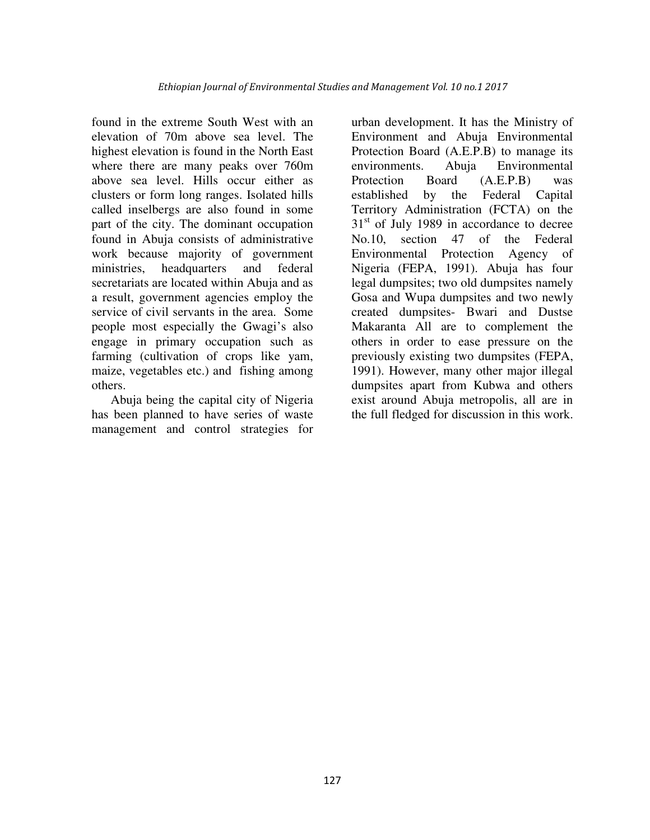found in the extreme South West with an elevation of 70m above sea level. The highest elevation is found in the North East where there are many peaks over 760m above sea level. Hills occur either as clusters or form long ranges. Isolated hills called inselbergs are also found in some part of the city. The dominant occupation found in Abuja consists of administrative work because majority of government ministries, headquarters and federal secretariats are located within Abuja and as a result, government agencies employ the service of civil servants in the area. Some people most especially the Gwagi's also engage in primary occupation such as farming (cultivation of crops like yam, maize, vegetables etc.) and fishing among others.

Abuja being the capital city of Nigeria has been planned to have series of waste management and control strategies for urban development. It has the Ministry of Environment and Abuja Environmental Protection Board (A.E.P.B) to manage its environments. Abuja Environmental Protection Board (A.E.P.B) was established by the Federal Capital Territory Administration (FCTA) on the  $31<sup>st</sup>$  of July 1989 in accordance to decree No.10, section 47 of the Federal Environmental Protection Agency of Nigeria (FEPA, 1991). Abuja has four legal dumpsites; two old dumpsites namely Gosa and Wupa dumpsites and two newly created dumpsites- Bwari and Dustse Makaranta All are to complement the others in order to ease pressure on the previously existing two dumpsites (FEPA, 1991). However, many other major illegal dumpsites apart from Kubwa and others exist around Abuja metropolis, all are in the full fledged for discussion in this work.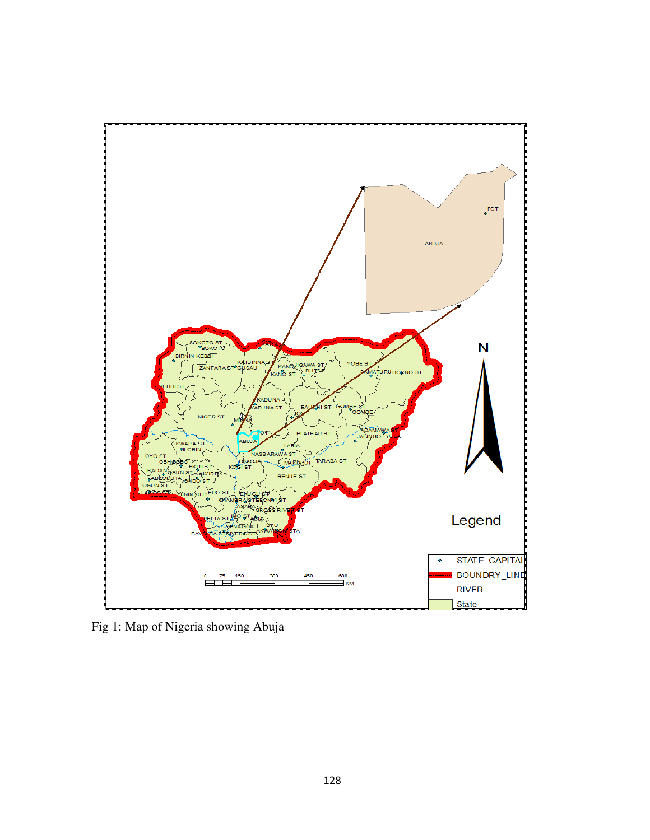

Fig 1: Map of Nigeria showing Abuja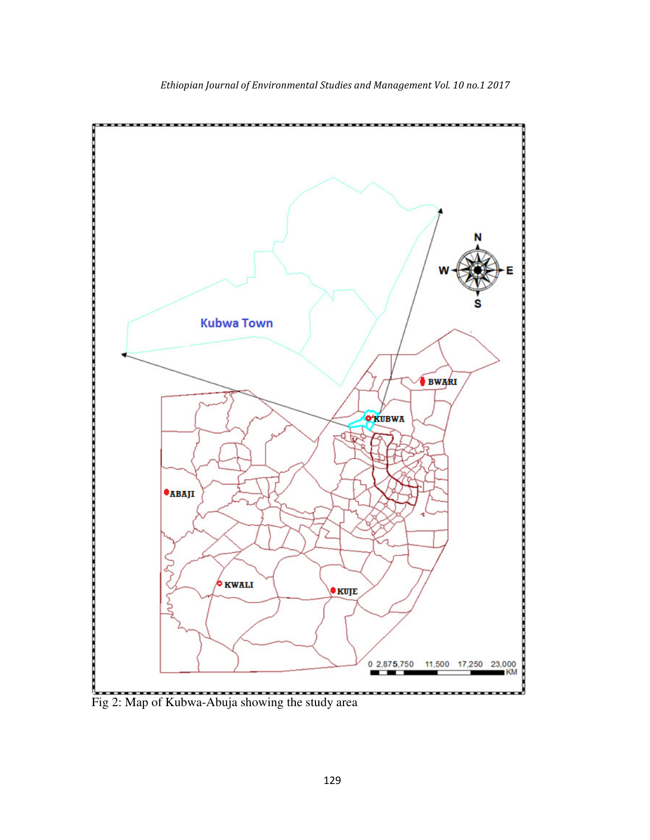

*Ethiopian Journal of Environmental Studies and Management Vol. 10 no.1 2017*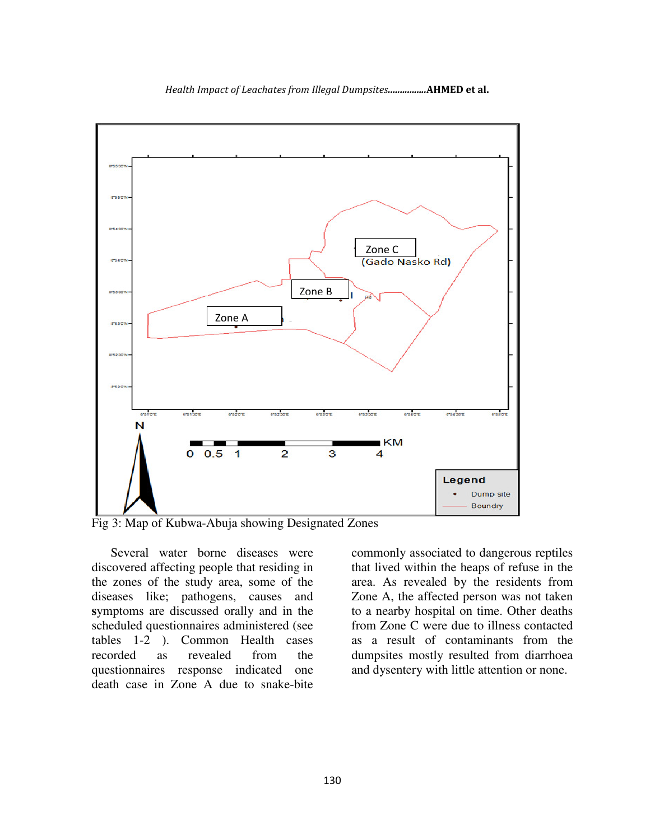

*Health Impact of Leachates from Illegal Dumpsites................***AHMED et al.**

Fig 3: Map of Kubwa-Abuja showing Designated Zones

Several water borne diseases were discovered affecting people that residing in the zones of the study area, some of the diseases like; pathogens, causes and **s**ymptoms are discussed orally and in the scheduled questionnaires administered (see tables 1-2 ). Common Health cases recorded as revealed from the questionnaires response indicated one death case in Zone A due to snake-bite commonly associated to dangerous reptiles that lived within the heaps of refuse in the area. As revealed by the residents from Zone A, the affected person was not taken to a nearby hospital on time. Other deaths from Zone C were due to illness contacted as a result of contaminants from the dumpsites mostly resulted from diarrhoea and dysentery with little attention or none.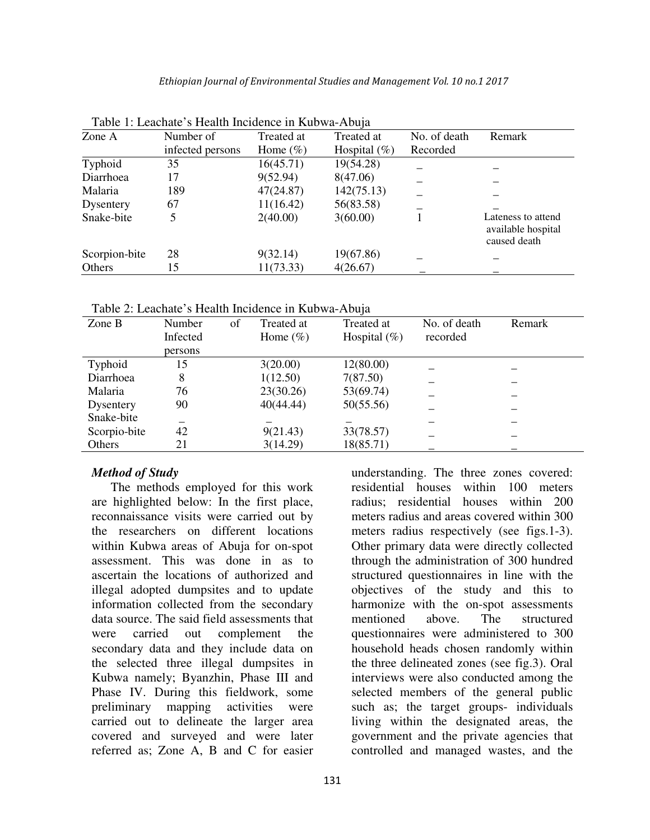| Zone A        | Number of        | Treated at   | Treated at      | No. of death | Remark                                                   |
|---------------|------------------|--------------|-----------------|--------------|----------------------------------------------------------|
|               | infected persons | Home $(\% )$ | Hospital $(\%)$ | Recorded     |                                                          |
| Typhoid       | 35               | 16(45.71)    | 19(54.28)       |              |                                                          |
| Diarrhoea     | 17               | 9(52.94)     | 8(47.06)        |              |                                                          |
| Malaria       | 189              | 47(24.87)    | 142(75.13)      |              |                                                          |
| Dysentery     | 67               | 11(16.42)    | 56(83.58)       |              |                                                          |
| Snake-bite    | 5                | 2(40.00)     | 3(60.00)        |              | Lateness to attend<br>available hospital<br>caused death |
| Scorpion-bite | 28               | 9(32.14)     | 19(67.86)       |              |                                                          |
| Others        | 15               | 11(73.33)    | 4(26.67)        |              |                                                          |

Table 1: Leachate's Health Incidence in Kubwa-Abuja

Table 2: Leachate's Health Incidence in Kubwa-Abuja

| Zone B       | Number<br>of |  | Treated at   | Treated at      | No. of death | Remark |  |
|--------------|--------------|--|--------------|-----------------|--------------|--------|--|
|              | Infected     |  | Home $(\% )$ | Hospital $(\%)$ | recorded     |        |  |
|              | persons      |  |              |                 |              |        |  |
| Typhoid      | 15           |  | 3(20.00)     | 12(80.00)       |              |        |  |
| Diarrhoea    | 8            |  | 1(12.50)     | 7(87.50)        |              |        |  |
| Malaria      | 76           |  | 23(30.26)    | 53(69.74)       |              |        |  |
| Dysentery    | 90           |  | 40(44.44)    | 50(55.56)       |              |        |  |
| Snake-bite   |              |  |              |                 |              |        |  |
| Scorpio-bite | 42           |  | 9(21.43)     | 33(78.57)       |              |        |  |
| Others       | 21           |  | 3(14.29)     | 18(85.71)       |              |        |  |

#### *Method of Study*

The methods employed for this work are highlighted below: In the first place, reconnaissance visits were carried out by the researchers on different locations within Kubwa areas of Abuja for on-spot assessment. This was done in as to ascertain the locations of authorized and illegal adopted dumpsites and to update information collected from the secondary data source. The said field assessments that were carried out complement the secondary data and they include data on the selected three illegal dumpsites in Kubwa namely; Byanzhin, Phase III and Phase IV. During this fieldwork, some preliminary mapping activities were carried out to delineate the larger area covered and surveyed and were later referred as; Zone A, B and C for easier residential houses within 100 meters radius; residential houses within 200 meters radius and areas covered within 300 meters radius respectively (see figs.1-3). Other primary data were directly collected through the administration of 300 hundred structured questionnaires in line with the objectives of the study and this to harmonize with the on-spot assessments mentioned above. The structured questionnaires were administered to 300 household heads chosen randomly within the three delineated zones (see fig.3). Oral interviews were also conducted among the selected members of the general public such as; the target groups- individuals living within the designated areas, the government and the private agencies that controlled and managed wastes, and the

understanding. The three zones covered: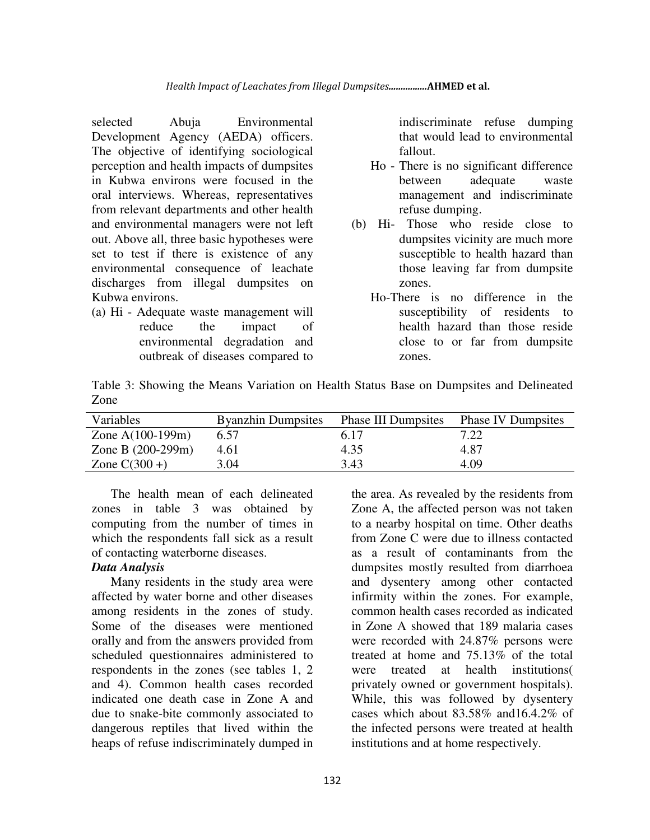selected Abuja Environmental Development Agency (AEDA) officers. The objective of identifying sociological perception and health impacts of dumpsites in Kubwa environs were focused in the oral interviews. Whereas, representatives from relevant departments and other health and environmental managers were not left out. Above all, three basic hypotheses were set to test if there is existence of any environmental consequence of leachate discharges from illegal dumpsites on Kubwa environs.

(a) Hi - Adequate waste management will reduce the impact of environmental degradation and outbreak of diseases compared to

indiscriminate refuse dumping that would lead to environmental fallout.

- Ho There is no significant difference between adequate waste management and indiscriminate refuse dumping.
- (b) Hi- Those who reside close to dumpsites vicinity are much more susceptible to health hazard than those leaving far from dumpsite zones.
	- Ho-There is no difference in the susceptibility of residents to health hazard than those reside close to or far from dumpsite zones.

Table 3: Showing the Means Variation on Health Status Base on Dumpsites and Delineated Zone

| Variables           | <b>Byanzhin Dumpsites</b> | <b>Phase III Dumpsites</b> | <b>Phase IV Dumpsites</b> |
|---------------------|---------------------------|----------------------------|---------------------------|
| Zone $A(100-199m)$  | 6.57                      | 6.17                       | 7.22                      |
| Zone B $(200-299m)$ | 4.61                      | 4.35                       | 4.87                      |
| Zone $C(300 +)$     | 3.04                      | 3.43                       | 4.09                      |

The health mean of each delineated zones in table 3 was obtained by computing from the number of times in which the respondents fall sick as a result of contacting waterborne diseases.

### *Data Analysis*

Many residents in the study area were affected by water borne and other diseases among residents in the zones of study. Some of the diseases were mentioned orally and from the answers provided from scheduled questionnaires administered to respondents in the zones (see tables 1, 2 and 4). Common health cases recorded indicated one death case in Zone A and due to snake-bite commonly associated to dangerous reptiles that lived within the heaps of refuse indiscriminately dumped in

the area. As revealed by the residents from Zone A, the affected person was not taken to a nearby hospital on time. Other deaths from Zone C were due to illness contacted as a result of contaminants from the dumpsites mostly resulted from diarrhoea and dysentery among other contacted infirmity within the zones. For example, common health cases recorded as indicated in Zone A showed that 189 malaria cases were recorded with 24.87% persons were treated at home and 75.13% of the total were treated at health institutions( privately owned or government hospitals). While, this was followed by dysentery cases which about 83.58% and16.4.2% of the infected persons were treated at health institutions and at home respectively.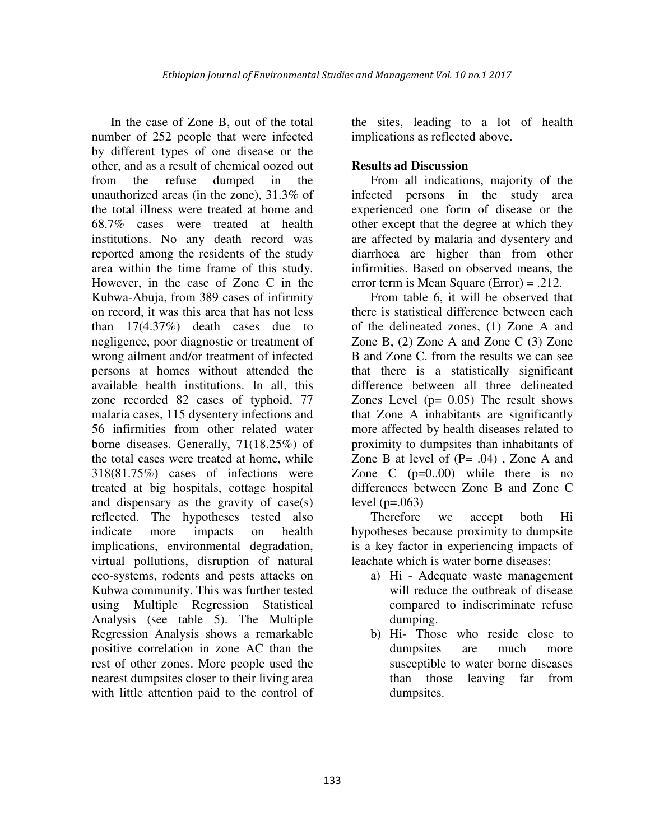In the case of Zone B, out of the total number of 252 people that were infected by different types of one disease or the other, and as a result of chemical oozed out from the refuse dumped in the unauthorized areas (in the zone), 31.3% of the total illness were treated at home and 68.7% cases were treated at health institutions. No any death record was reported among the residents of the study area within the time frame of this study. However, in the case of Zone C in the Kubwa-Abuja, from 389 cases of infirmity on record, it was this area that has not less than 17(4.37%) death cases due to negligence, poor diagnostic or treatment of wrong ailment and/or treatment of infected persons at homes without attended the available health institutions. In all, this zone recorded 82 cases of typhoid, 77 malaria cases, 115 dysentery infections and 56 infirmities from other related water borne diseases. Generally, 71(18.25%) of the total cases were treated at home, while 318(81.75%) cases of infections were treated at big hospitals, cottage hospital and dispensary as the gravity of case(s) reflected. The hypotheses tested also indicate more impacts on health implications, environmental degradation, virtual pollutions, disruption of natural eco-systems, rodents and pests attacks on Kubwa community. This was further tested using Multiple Regression Statistical Analysis (see table 5). The Multiple Regression Analysis shows a remarkable positive correlation in zone AC than the rest of other zones. More people used the nearest dumpsites closer to their living area with little attention paid to the control of the sites, leading to a lot of health implications as reflected above.

## **Results ad Discussion**

From all indications, majority of the infected persons in the study area experienced one form of disease or the other except that the degree at which they are affected by malaria and dysentery and diarrhoea are higher than from other infirmities. Based on observed means, the error term is Mean Square (Error)  $= .212$ .

From table 6, it will be observed that there is statistical difference between each of the delineated zones, (1) Zone A and Zone B, (2) Zone A and Zone C (3) Zone B and Zone C. from the results we can see that there is a statistically significant difference between all three delineated Zones Level (p= 0.05) The result shows that Zone A inhabitants are significantly more affected by health diseases related to proximity to dumpsites than inhabitants of Zone B at level of (P= .04) , Zone A and Zone C  $(p=0.00)$  while there is no differences between Zone B and Zone C level  $(p=.063)$ 

Therefore we accept both Hi hypotheses because proximity to dumpsite is a key factor in experiencing impacts of leachate which is water borne diseases:

- a) Hi Adequate waste management will reduce the outbreak of disease compared to indiscriminate refuse dumping.
- b) Hi- Those who reside close to dumpsites are much more susceptible to water borne diseases than those leaving far from dumpsites.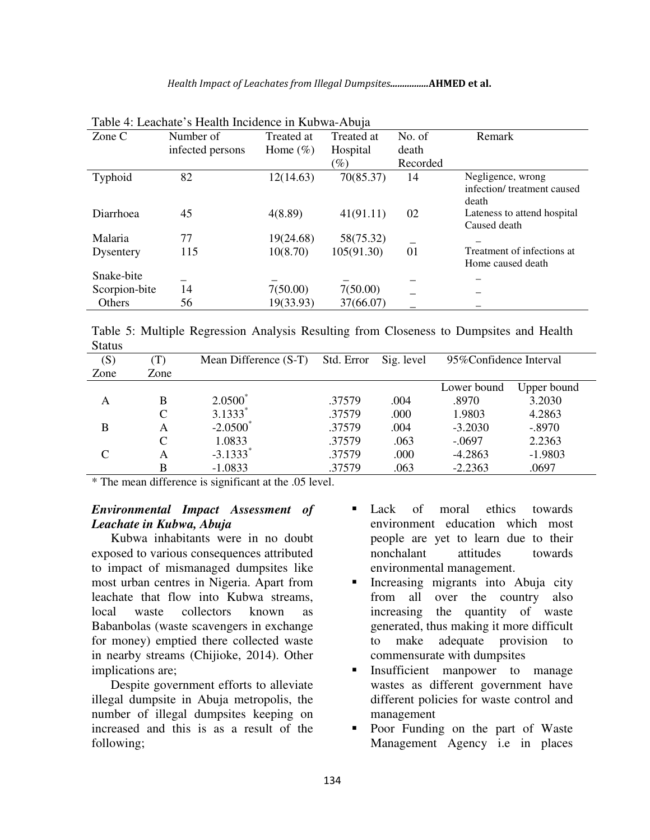| Zone $C$      | Number of        | Treated at  | Treated at      | No. of   | Remark                                                   |
|---------------|------------------|-------------|-----------------|----------|----------------------------------------------------------|
|               | infected persons | Home $(\%)$ | Hospital        | death    |                                                          |
|               |                  |             | $\mathscr{G}_o$ | Recorded |                                                          |
| Typhoid       | 82               | 12(14.63)   | 70(85.37)       | 14       | Negligence, wrong<br>infection/treatment caused<br>death |
| Diarrhoea     | 45               | 4(8.89)     | 41(91.11)       | 02       | Lateness to attend hospital<br>Caused death              |
| Malaria       | 77               | 19(24.68)   | 58(75.32)       |          |                                                          |
| Dysentery     | 115              | 10(8.70)    | 105(91.30)      | 01       | Treatment of infections at<br>Home caused death          |
| Snake-bite    |                  |             |                 |          |                                                          |
| Scorpion-bite | 14               | 7(50.00)    | 7(50.00)        |          |                                                          |
| Others        | 56               | 19(33.93)   | 37(66.07)       |          |                                                          |

Table 4: Leachate's Health Incidence in Kubwa-Abuja

Table 5: Multiple Regression Analysis Resulting from Closeness to Dumpsites and Health **Status** 

| (S)  | (T)      | Mean Difference (S-T)       | Std. Error | Sig. level | 95% Confidence Interval |             |
|------|----------|-----------------------------|------------|------------|-------------------------|-------------|
| Zone | Zone     |                             |            |            |                         |             |
|      |          |                             |            |            | Lower bound             | Upper bound |
| A    | B        | $2.0500*$                   | .37579     | .004       | .8970                   | 3.2030      |
|      | C        | $3.1333*$                   | .37579     | .000       | 1.9803                  | 4.2863      |
| B    | A        | $-2.0500^*$                 | .37579     | .004       | $-3.2030$               | $-.8970$    |
|      |          | 1.0833                      | .37579     | .063       | $-.0697$                | 2.2363      |
| C    | A        | $-3.1333$ <sup>*</sup>      | .37579     | .000       | $-4.2863$               | $-1.9803$   |
|      | В        | $-1.0833$                   | .37579     | .063       | $-2.2363$               | .0697       |
|      | $\cdots$ | $\sim$ $\sim$ $\sim$ $\sim$ |            |            |                         |             |

\* The mean difference is significant at the .05 level.

#### *Environmental Impact Assessment of Leachate in Kubwa, Abuja*

Kubwa inhabitants were in no doubt exposed to various consequences attributed to impact of mismanaged dumpsites like most urban centres in Nigeria. Apart from leachate that flow into Kubwa streams, local waste collectors known as Babanbolas (waste scavengers in exchange for money) emptied there collected waste in nearby streams (Chijioke, 2014). Other implications are;

Despite government efforts to alleviate illegal dumpsite in Abuja metropolis, the number of illegal dumpsites keeping on increased and this is as a result of the following;

- Lack of moral ethics towards environment education which most people are yet to learn due to their nonchalant attitudes towards environmental management.
- Increasing migrants into Abuja city from all over the country also increasing the quantity of waste generated, thus making it more difficult to make adequate provision to commensurate with dumpsites
- Insufficient manpower to manage wastes as different government have different policies for waste control and management
- Poor Funding on the part of Waste Management Agency i.e in places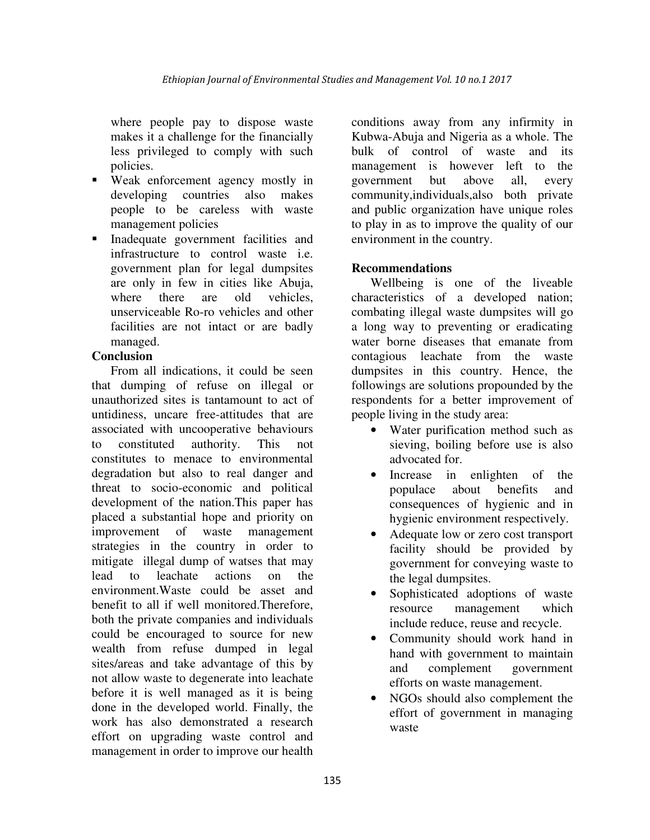where people pay to dispose waste makes it a challenge for the financially less privileged to comply with such policies.

- Weak enforcement agency mostly in developing countries also makes people to be careless with waste management policies
- Inadequate government facilities and infrastructure to control waste i.e. government plan for legal dumpsites are only in few in cities like Abuja, where there are old vehicles, unserviceable Ro-ro vehicles and other facilities are not intact or are badly managed.

## **Conclusion**

From all indications, it could be seen that dumping of refuse on illegal or unauthorized sites is tantamount to act of untidiness, uncare free-attitudes that are associated with uncooperative behaviours to constituted authority. This not constitutes to menace to environmental degradation but also to real danger and threat to socio-economic and political development of the nation.This paper has placed a substantial hope and priority on improvement of waste management strategies in the country in order to mitigate illegal dump of watses that may lead to leachate actions on the environment.Waste could be asset and benefit to all if well monitored.Therefore, both the private companies and individuals could be encouraged to source for new wealth from refuse dumped in legal sites/areas and take advantage of this by not allow waste to degenerate into leachate before it is well managed as it is being done in the developed world. Finally, the work has also demonstrated a research effort on upgrading waste control and management in order to improve our health conditions away from any infirmity in Kubwa-Abuja and Nigeria as a whole. The bulk of control of waste and its management is however left to the government but above all, every community,individuals,also both private and public organization have unique roles to play in as to improve the quality of our environment in the country.

## **Recommendations**

Wellbeing is one of the liveable characteristics of a developed nation; combating illegal waste dumpsites will go a long way to preventing or eradicating water borne diseases that emanate from contagious leachate from the waste dumpsites in this country. Hence, the followings are solutions propounded by the respondents for a better improvement of people living in the study area:

- Water purification method such as sieving, boiling before use is also advocated for.
- Increase in enlighten of the populace about benefits and consequences of hygienic and in hygienic environment respectively.
- Adequate low or zero cost transport facility should be provided by government for conveying waste to the legal dumpsites.
- Sophisticated adoptions of waste resource management which include reduce, reuse and recycle.
- Community should work hand in hand with government to maintain and complement government efforts on waste management.
- NGOs should also complement the effort of government in managing waste